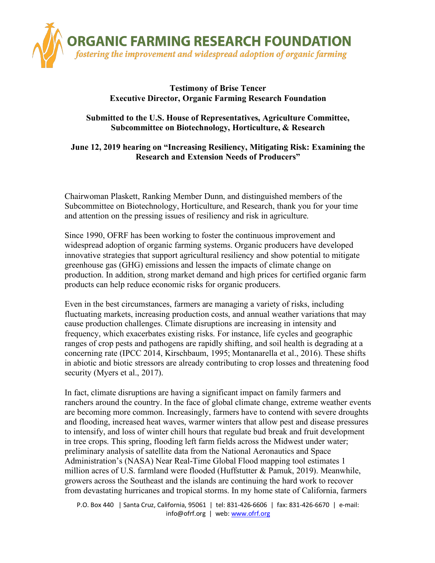

## **Testimony of Brise Tencer Executive Director, Organic Farming Research Foundation**

## **Submitted to the U.S. House of Representatives, Agriculture Committee, Subcommittee on Biotechnology, Horticulture, & Research**

# **June 12, 2019 hearing on "Increasing Resiliency, Mitigating Risk: Examining the Research and Extension Needs of Producers"**

Chairwoman Plaskett, Ranking Member Dunn, and distinguished members of the Subcommittee on Biotechnology, Horticulture, and Research, thank you for your time and attention on the pressing issues of resiliency and risk in agriculture.

Since 1990, OFRF has been working to foster the continuous improvement and widespread adoption of organic farming systems. Organic producers have developed innovative strategies that support agricultural resiliency and show potential to mitigate greenhouse gas (GHG) emissions and lessen the impacts of climate change on production. In addition, strong market demand and high prices for certified organic farm products can help reduce economic risks for organic producers.

Even in the best circumstances, farmers are managing a variety of risks, including fluctuating markets, increasing production costs, and annual weather variations that may cause production challenges. Climate disruptions are increasing in intensity and frequency, which exacerbates existing risks. For instance, life cycles and geographic ranges of crop pests and pathogens are rapidly shifting, and soil health is degrading at a concerning rate (IPCC 2014, Kirschbaum, 1995; Montanarella et al., 2016). These shifts in abiotic and biotic stressors are already contributing to crop losses and threatening food security (Myers et al., 2017).

In fact, climate disruptions are having a significant impact on family farmers and ranchers around the country. In the face of global climate change, extreme weather events are becoming more common. Increasingly, farmers have to contend with severe droughts and flooding, increased heat waves, warmer winters that allow pest and disease pressures to intensify, and loss of winter chill hours that regulate bud break and fruit development in tree crops. This spring, flooding left farm fields across the Midwest under water; preliminary analysis of satellite data from the National Aeronautics and Space Administration's (NASA) Near Real-Time Global Flood mapping tool estimates 1 million acres of U.S. farmland were flooded (Huffstutter & Pamuk, 2019). Meanwhile, growers across the Southeast and the islands are continuing the hard work to recover from devastating hurricanes and tropical storms. In my home state of California, farmers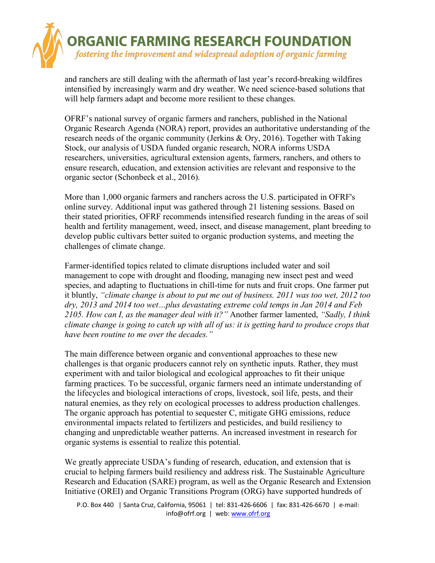

and ranchers are still dealing with the aftermath of last year's record-breaking wildfires intensified by increasingly warm and dry weather. We need science-based solutions that will help farmers adapt and become more resilient to these changes.

OFRF's national survey of organic farmers and ranchers, published in the National Organic Research Agenda (NORA) report, provides an authoritative understanding of the research needs of the organic community (Jerkins & Ory, 2016). Together with Taking Stock, our analysis of USDA funded organic research, NORA informs USDA researchers, universities, agricultural extension agents, farmers, ranchers, and others to ensure research, education, and extension activities are relevant and responsive to the organic sector (Schonbeck et al., 2016).

More than 1,000 organic farmers and ranchers across the U.S. participated in OFRF's online survey. Additional input was gathered through 21 listening sessions. Based on their stated priorities, OFRF recommends intensified research funding in the areas of soil health and fertility management, weed, insect, and disease management, plant breeding to develop public cultivars better suited to organic production systems, and meeting the challenges of climate change.

Farmer-identified topics related to climate disruptions included water and soil management to cope with drought and flooding, managing new insect pest and weed species, and adapting to fluctuations in chill-time for nuts and fruit crops. One farmer put it bluntly, *"climate change is about to put me out of business. 2011 was too wet, 2012 too dry, 2013 and 2014 too wet…plus devastating extreme cold temps in Jan 2014 and Feb 2105. How can I, as the manager deal with it?"* Another farmer lamented, *"Sadly, I think climate change is going to catch up with all of us: it is getting hard to produce crops that have been routine to me over the decades."*

The main difference between organic and conventional approaches to these new challenges is that organic producers cannot rely on synthetic inputs. Rather, they must experiment with and tailor biological and ecological approaches to fit their unique farming practices. To be successful, organic farmers need an intimate understanding of the lifecycles and biological interactions of crops, livestock, soil life, pests, and their natural enemies, as they rely on ecological processes to address production challenges. The organic approach has potential to sequester C, mitigate GHG emissions, reduce environmental impacts related to fertilizers and pesticides, and build resiliency to changing and unpredictable weather patterns. An increased investment in research for organic systems is essential to realize this potential.

We greatly appreciate USDA's funding of research, education, and extension that is crucial to helping farmers build resiliency and address risk. The Sustainable Agriculture Research and Education (SARE) program, as well as the Organic Research and Extension Initiative (OREI) and Organic Transitions Program (ORG) have supported hundreds of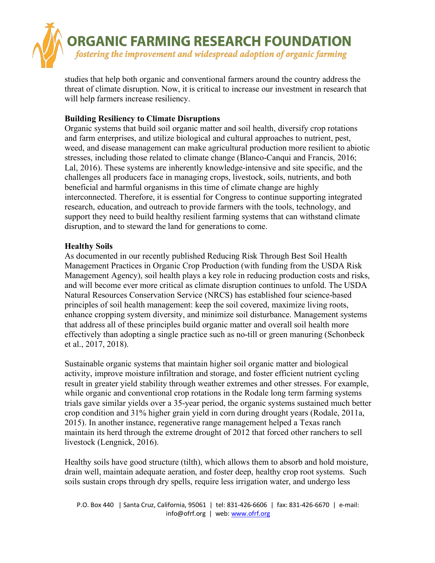

studies that help both organic and conventional farmers around the country address the threat of climate disruption. Now, it is critical to increase our investment in research that will help farmers increase resiliency.

### **Building Resiliency to Climate Disruptions**

Organic systems that build soil organic matter and soil health, diversify crop rotations and farm enterprises, and utilize biological and cultural approaches to nutrient, pest, weed, and disease management can make agricultural production more resilient to abiotic stresses, including those related to climate change (Blanco-Canqui and Francis, 2016; Lal, 2016). These systems are inherently knowledge-intensive and site specific, and the challenges all producers face in managing crops, livestock, soils, nutrients, and both beneficial and harmful organisms in this time of climate change are highly interconnected. Therefore, it is essential for Congress to continue supporting integrated research, education, and outreach to provide farmers with the tools, technology, and support they need to build healthy resilient farming systems that can withstand climate disruption, and to steward the land for generations to come.

#### **Healthy Soils**

As documented in our recently published Reducing Risk Through Best Soil Health Management Practices in Organic Crop Production (with funding from the USDA Risk Management Agency), soil health plays a key role in reducing production costs and risks, and will become ever more critical as climate disruption continues to unfold. The USDA Natural Resources Conservation Service (NRCS) has established four science-based principles of soil health management: keep the soil covered, maximize living roots, enhance cropping system diversity, and minimize soil disturbance. Management systems that address all of these principles build organic matter and overall soil health more effectively than adopting a single practice such as no-till or green manuring (Schonbeck et al., 2017, 2018).

Sustainable organic systems that maintain higher soil organic matter and biological activity, improve moisture infiltration and storage, and foster efficient nutrient cycling result in greater yield stability through weather extremes and other stresses. For example, while organic and conventional crop rotations in the Rodale long term farming systems trials gave similar yields over a 35-year period, the organic systems sustained much better crop condition and 31% higher grain yield in corn during drought years (Rodale, 2011a, 2015). In another instance, regenerative range management helped a Texas ranch maintain its herd through the extreme drought of 2012 that forced other ranchers to sell livestock (Lengnick, 2016).

Healthy soils have good structure (tilth), which allows them to absorb and hold moisture, drain well, maintain adequate aeration, and foster deep, healthy crop root systems. Such soils sustain crops through dry spells, require less irrigation water, and undergo less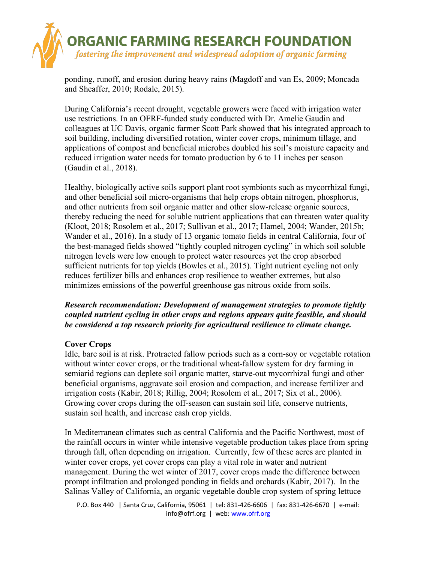

ponding, runoff, and erosion during heavy rains (Magdoff and van Es, 2009; Moncada and Sheaffer, 2010; Rodale, 2015).

During California's recent drought, vegetable growers were faced with irrigation water use restrictions. In an OFRF-funded study conducted with Dr. Amelie Gaudin and colleagues at UC Davis, organic farmer Scott Park showed that his integrated approach to soil building, including diversified rotation, winter cover crops, minimum tillage, and applications of compost and beneficial microbes doubled his soil's moisture capacity and reduced irrigation water needs for tomato production by 6 to 11 inches per season (Gaudin et al., 2018).

Healthy, biologically active soils support plant root symbionts such as mycorrhizal fungi, and other beneficial soil micro-organisms that help crops obtain nitrogen, phosphorus, and other nutrients from soil organic matter and other slow-release organic sources, thereby reducing the need for soluble nutrient applications that can threaten water quality (Kloot, 2018; Rosolem et al., 2017; Sullivan et al., 2017; Hamel, 2004; Wander, 2015b; Wander et al., 2016). In a study of 13 organic tomato fields in central California, four of the best-managed fields showed "tightly coupled nitrogen cycling" in which soil soluble nitrogen levels were low enough to protect water resources yet the crop absorbed sufficient nutrients for top yields (Bowles et al., 2015). Tight nutrient cycling not only reduces fertilizer bills and enhances crop resilience to weather extremes, but also minimizes emissions of the powerful greenhouse gas nitrous oxide from soils.

## *Research recommendation: Development of management strategies to promote tightly coupled nutrient cycling in other crops and regions appears quite feasible, and should be considered a top research priority for agricultural resilience to climate change.*

## **Cover Crops**

Idle, bare soil is at risk. Protracted fallow periods such as a corn-soy or vegetable rotation without winter cover crops, or the traditional wheat-fallow system for dry farming in semiarid regions can deplete soil organic matter, starve-out mycorrhizal fungi and other beneficial organisms, aggravate soil erosion and compaction, and increase fertilizer and irrigation costs (Kabir, 2018; Rillig, 2004; Rosolem et al., 2017; Six et al., 2006). Growing cover crops during the off-season can sustain soil life, conserve nutrients, sustain soil health, and increase cash crop yields.

In Mediterranean climates such as central California and the Pacific Northwest, most of the rainfall occurs in winter while intensive vegetable production takes place from spring through fall, often depending on irrigation. Currently, few of these acres are planted in winter cover crops, yet cover crops can play a vital role in water and nutrient management. During the wet winter of 2017, cover crops made the difference between prompt infiltration and prolonged ponding in fields and orchards (Kabir, 2017). In the Salinas Valley of California, an organic vegetable double crop system of spring lettuce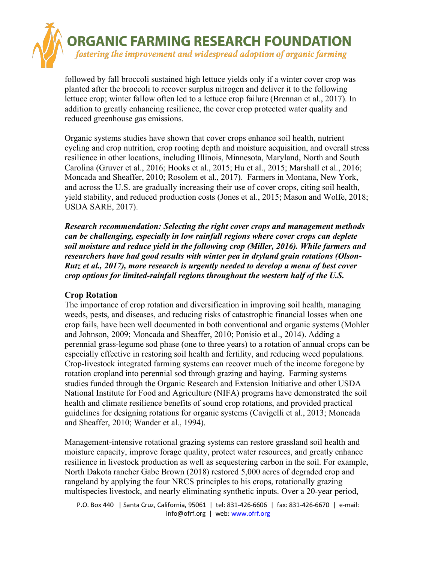

followed by fall broccoli sustained high lettuce yields only if a winter cover crop was planted after the broccoli to recover surplus nitrogen and deliver it to the following lettuce crop; winter fallow often led to a lettuce crop failure (Brennan et al., 2017). In addition to greatly enhancing resilience, the cover crop protected water quality and reduced greenhouse gas emissions.

Organic systems studies have shown that cover crops enhance soil health, nutrient cycling and crop nutrition, crop rooting depth and moisture acquisition, and overall stress resilience in other locations, including Illinois, Minnesota, Maryland, North and South Carolina (Gruver et al., 2016; Hooks et al., 2015; Hu et al., 2015; Marshall et al., 2016; Moncada and Sheaffer, 2010; Rosolem et al., 2017). Farmers in Montana, New York, and across the U.S. are gradually increasing their use of cover crops, citing soil health, yield stability, and reduced production costs (Jones et al., 2015; Mason and Wolfe, 2018; USDA SARE, 2017).

*Research recommendation: Selecting the right cover crops and management methods can be challenging, especially in low rainfall regions where cover crops can deplete soil moisture and reduce yield in the following crop (Miller, 2016). While farmers and researchers have had good results with winter pea in dryland grain rotations (Olson-Rutz et al., 2017), more research is urgently needed to develop a menu of best cover crop options for limited-rainfall regions throughout the western half of the U.S.* 

#### **Crop Rotation**

The importance of crop rotation and diversification in improving soil health, managing weeds, pests, and diseases, and reducing risks of catastrophic financial losses when one crop fails, have been well documented in both conventional and organic systems (Mohler and Johnson, 2009; Moncada and Sheaffer, 2010; Ponisio et al., 2014). Adding a perennial grass-legume sod phase (one to three years) to a rotation of annual crops can be especially effective in restoring soil health and fertility, and reducing weed populations. Crop-livestock integrated farming systems can recover much of the income foregone by rotation cropland into perennial sod through grazing and haying. Farming systems studies funded through the Organic Research and Extension Initiative and other USDA National Institute for Food and Agriculture (NIFA) programs have demonstrated the soil health and climate resilience benefits of sound crop rotations, and provided practical guidelines for designing rotations for organic systems (Cavigelli et al., 2013; Moncada and Sheaffer, 2010; Wander et al., 1994).

Management-intensive rotational grazing systems can restore grassland soil health and moisture capacity, improve forage quality, protect water resources, and greatly enhance resilience in livestock production as well as sequestering carbon in the soil. For example, North Dakota rancher Gabe Brown (2018) restored 5,000 acres of degraded crop and rangeland by applying the four NRCS principles to his crops, rotationally grazing multispecies livestock, and nearly eliminating synthetic inputs. Over a 20-year period,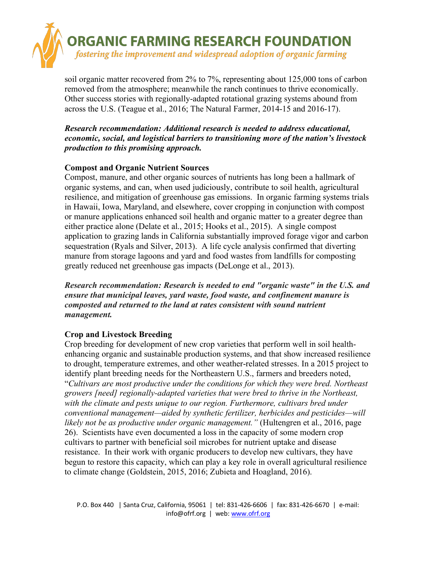

soil organic matter recovered from 2% to 7%, representing about 125,000 tons of carbon removed from the atmosphere; meanwhile the ranch continues to thrive economically. Other success stories with regionally-adapted rotational grazing systems abound from across the U.S. (Teague et al., 2016; The Natural Farmer, 2014-15 and 2016-17).

*Research recommendation: Additional research is needed to address educational, economic, social, and logistical barriers to transitioning more of the nation's livestock production to this promising approach.*

## **Compost and Organic Nutrient Sources**

Compost, manure, and other organic sources of nutrients has long been a hallmark of organic systems, and can, when used judiciously, contribute to soil health, agricultural resilience, and mitigation of greenhouse gas emissions. In organic farming systems trials in Hawaii, Iowa, Maryland, and elsewhere, cover cropping in conjunction with compost or manure applications enhanced soil health and organic matter to a greater degree than either practice alone (Delate et al., 2015; Hooks et al., 2015). A single compost application to grazing lands in California substantially improved forage vigor and carbon sequestration (Ryals and Silver, 2013). A life cycle analysis confirmed that diverting manure from storage lagoons and yard and food wastes from landfills for composting greatly reduced net greenhouse gas impacts (DeLonge et al., 2013).

*Research recommendation: Research is needed to end "organic waste" in the U.S. and ensure that municipal leaves, yard waste, food waste, and confinement manure is composted and returned to the land at rates consistent with sound nutrient management.*

## **Crop and Livestock Breeding**

Crop breeding for development of new crop varieties that perform well in soil healthenhancing organic and sustainable production systems, and that show increased resilience to drought, temperature extremes, and other weather-related stresses. In a 2015 project to identify plant breeding needs for the Northeastern U.S., farmers and breeders noted, "*Cultivars are most productive under the conditions for which they were bred. Northeast growers [need] regionally-adapted varieties that were bred to thrive in the Northeast, with the climate and pests unique to our region. Furthermore, cultivars bred under conventional management—aided by synthetic fertilizer, herbicides and pesticides—will likely not be as productive under organic management."* (Hultengren et al., 2016, page 26). Scientists have even documented a loss in the capacity of some modern crop cultivars to partner with beneficial soil microbes for nutrient uptake and disease resistance. In their work with organic producers to develop new cultivars, they have begun to restore this capacity, which can play a key role in overall agricultural resilience to climate change (Goldstein, 2015, 2016; Zubieta and Hoagland, 2016).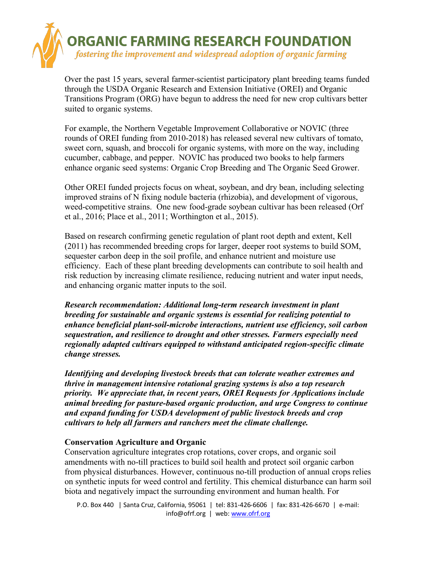

Over the past 15 years, several farmer-scientist participatory plant breeding teams funded through the USDA Organic Research and Extension Initiative (OREI) and Organic Transitions Program (ORG) have begun to address the need for new crop cultivars better suited to organic systems.

For example, the Northern Vegetable Improvement Collaborative or NOVIC (three rounds of OREI funding from 2010-2018) has released several new cultivars of tomato, sweet corn, squash, and broccoli for organic systems, with more on the way, including cucumber, cabbage, and pepper. NOVIC has produced two books to help farmers enhance organic seed systems: Organic Crop Breeding and The Organic Seed Grower.

Other OREI funded projects focus on wheat, soybean, and dry bean, including selecting improved strains of N fixing nodule bacteria (rhizobia), and development of vigorous, weed-competitive strains. One new food-grade soybean cultivar has been released (Orf et al., 2016; Place et al., 2011; Worthington et al., 2015).

Based on research confirming genetic regulation of plant root depth and extent, Kell (2011) has recommended breeding crops for larger, deeper root systems to build SOM, sequester carbon deep in the soil profile, and enhance nutrient and moisture use efficiency. Each of these plant breeding developments can contribute to soil health and risk reduction by increasing climate resilience, reducing nutrient and water input needs, and enhancing organic matter inputs to the soil.

*Research recommendation: Additional long-term research investment in plant breeding for sustainable and organic systems is essential for realizing potential to enhance beneficial plant-soil-microbe interactions, nutrient use efficiency, soil carbon sequestration, and resilience to drought and other stresses. Farmers especially need regionally adapted cultivars equipped to withstand anticipated region-specific climate change stresses.*

*Identifying and developing livestock breeds that can tolerate weather extremes and thrive in management intensive rotational grazing systems is also a top research priority. We appreciate that, in recent years, OREI Requests for Applications include animal breeding for pasture-based organic production, and urge Congress to continue and expand funding for USDA development of public livestock breeds and crop cultivars to help all farmers and ranchers meet the climate challenge.*

#### **Conservation Agriculture and Organic**

Conservation agriculture integrates crop rotations, cover crops, and organic soil amendments with no-till practices to build soil health and protect soil organic carbon from physical disturbances. However, continuous no-till production of annual crops relies on synthetic inputs for weed control and fertility. This chemical disturbance can harm soil biota and negatively impact the surrounding environment and human health. For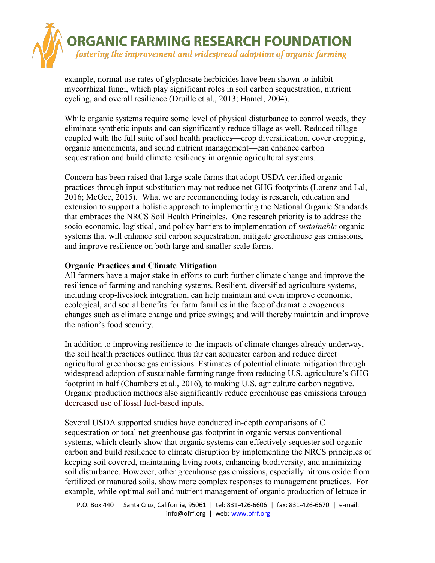

example, normal use rates of glyphosate herbicides have been shown to inhibit mycorrhizal fungi, which play significant roles in soil carbon sequestration, nutrient cycling, and overall resilience (Druille et al., 2013; Hamel, 2004).

While organic systems require some level of physical disturbance to control weeds, they eliminate synthetic inputs and can significantly reduce tillage as well. Reduced tillage coupled with the full suite of soil health practices—crop diversification, cover cropping, organic amendments, and sound nutrient management—can enhance carbon sequestration and build climate resiliency in organic agricultural systems.

Concern has been raised that large-scale farms that adopt USDA certified organic practices through input substitution may not reduce net GHG footprints (Lorenz and Lal, 2016; McGee, 2015). What we are recommending today is research, education and extension to support a holistic approach to implementing the National Organic Standards that embraces the NRCS Soil Health Principles. One research priority is to address the socio-economic, logistical, and policy barriers to implementation of *sustainable* organic systems that will enhance soil carbon sequestration, mitigate greenhouse gas emissions, and improve resilience on both large and smaller scale farms.

#### **Organic Practices and Climate Mitigation**

All farmers have a major stake in efforts to curb further climate change and improve the resilience of farming and ranching systems. Resilient, diversified agriculture systems, including crop-livestock integration, can help maintain and even improve economic, ecological, and social benefits for farm families in the face of dramatic exogenous changes such as climate change and price swings; and will thereby maintain and improve the nation's food security.

In addition to improving resilience to the impacts of climate changes already underway, the soil health practices outlined thus far can sequester carbon and reduce direct agricultural greenhouse gas emissions. Estimates of potential climate mitigation through widespread adoption of sustainable farming range from reducing U.S. agriculture's GHG footprint in half (Chambers et al., 2016), to making U.S. agriculture carbon negative. Organic production methods also significantly reduce greenhouse gas emissions through decreased use of fossil fuel-based inputs.

Several USDA supported studies have conducted in-depth comparisons of C sequestration or total net greenhouse gas footprint in organic versus conventional systems, which clearly show that organic systems can effectively sequester soil organic carbon and build resilience to climate disruption by implementing the NRCS principles of keeping soil covered, maintaining living roots, enhancing biodiversity, and minimizing soil disturbance. However, other greenhouse gas emissions, especially nitrous oxide from fertilized or manured soils, show more complex responses to management practices. For example, while optimal soil and nutrient management of organic production of lettuce in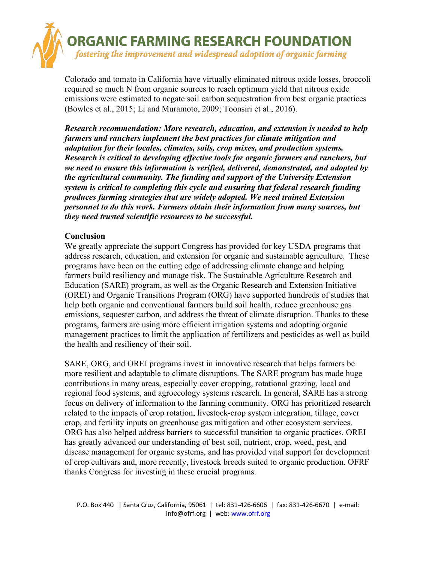

Colorado and tomato in California have virtually eliminated nitrous oxide losses, broccoli required so much N from organic sources to reach optimum yield that nitrous oxide emissions were estimated to negate soil carbon sequestration from best organic practices (Bowles et al., 2015; Li and Muramoto, 2009; Toonsiri et al., 2016).

*Research recommendation: More research, education, and extension is needed to help farmers and ranchers implement the best practices for climate mitigation and adaptation for their locales, climates, soils, crop mixes, and production systems. Research is critical to developing effective tools for organic farmers and ranchers, but we need to ensure this information is verified, delivered, demonstrated, and adopted by the agricultural community. The funding and support of the University Extension system is critical to completing this cycle and ensuring that federal research funding produces farming strategies that are widely adopted. We need trained Extension personnel to do this work. Farmers obtain their information from many sources, but they need trusted scientific resources to be successful.*

### **Conclusion**

We greatly appreciate the support Congress has provided for key USDA programs that address research, education, and extension for organic and sustainable agriculture. These programs have been on the cutting edge of addressing climate change and helping farmers build resiliency and manage risk. The Sustainable Agriculture Research and Education (SARE) program, as well as the Organic Research and Extension Initiative (OREI) and Organic Transitions Program (ORG) have supported hundreds of studies that help both organic and conventional farmers build soil health, reduce greenhouse gas emissions, sequester carbon, and address the threat of climate disruption. Thanks to these programs, farmers are using more efficient irrigation systems and adopting organic management practices to limit the application of fertilizers and pesticides as well as build the health and resiliency of their soil.

SARE, ORG, and OREI programs invest in innovative research that helps farmers be more resilient and adaptable to climate disruptions. The SARE program has made huge contributions in many areas, especially cover cropping, rotational grazing, local and regional food systems, and agroecology systems research. In general, SARE has a strong focus on delivery of information to the farming community. ORG has prioritized research related to the impacts of crop rotation, livestock-crop system integration, tillage, cover crop, and fertility inputs on greenhouse gas mitigation and other ecosystem services. ORG has also helped address barriers to successful transition to organic practices. OREI has greatly advanced our understanding of best soil, nutrient, crop, weed, pest, and disease management for organic systems, and has provided vital support for development of crop cultivars and, more recently, livestock breeds suited to organic production. OFRF thanks Congress for investing in these crucial programs.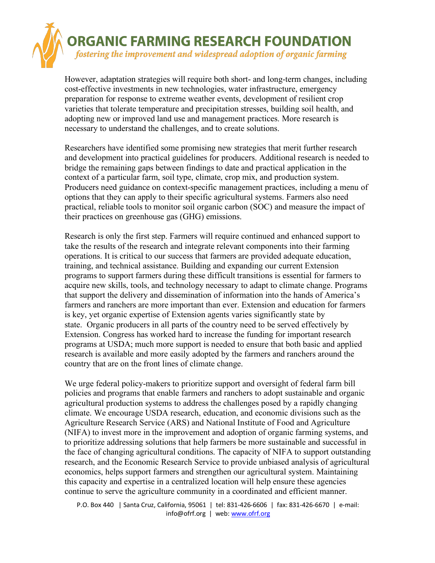

However, adaptation strategies will require both short- and long-term changes, including cost-effective investments in new technologies, water infrastructure, emergency preparation for response to extreme weather events, development of resilient crop varieties that tolerate temperature and precipitation stresses, building soil health, and adopting new or improved land use and management practices. More research is necessary to understand the challenges, and to create solutions.

Researchers have identified some promising new strategies that merit further research and development into practical guidelines for producers. Additional research is needed to bridge the remaining gaps between findings to date and practical application in the context of a particular farm, soil type, climate, crop mix, and production system. Producers need guidance on context-specific management practices, including a menu of options that they can apply to their specific agricultural systems. Farmers also need practical, reliable tools to monitor soil organic carbon (SOC) and measure the impact of their practices on greenhouse gas (GHG) emissions.

Research is only the first step. Farmers will require continued and enhanced support to take the results of the research and integrate relevant components into their farming operations. It is critical to our success that farmers are provided adequate education, training, and technical assistance. Building and expanding our current Extension programs to support farmers during these difficult transitions is essential for farmers to acquire new skills, tools, and technology necessary to adapt to climate change. Programs that support the delivery and dissemination of information into the hands of America's farmers and ranchers are more important than ever. Extension and education for farmers is key, yet organic expertise of Extension agents varies significantly state by state. Organic producers in all parts of the country need to be served effectively by Extension. Congress has worked hard to increase the funding for important research programs at USDA; much more support is needed to ensure that both basic and applied research is available and more easily adopted by the farmers and ranchers around the country that are on the front lines of climate change.

We urge federal policy-makers to prioritize support and oversight of federal farm bill policies and programs that enable farmers and ranchers to adopt sustainable and organic agricultural production systems to address the challenges posed by a rapidly changing climate. We encourage USDA research, education, and economic divisions such as the Agriculture Research Service (ARS) and National Institute of Food and Agriculture (NIFA) to invest more in the improvement and adoption of organic farming systems, and to prioritize addressing solutions that help farmers be more sustainable and successful in the face of changing agricultural conditions. The capacity of NIFA to support outstanding research, and the Economic Research Service to provide unbiased analysis of agricultural economics, helps support farmers and strengthen our agricultural system. Maintaining this capacity and expertise in a centralized location will help ensure these agencies continue to serve the agriculture community in a coordinated and efficient manner.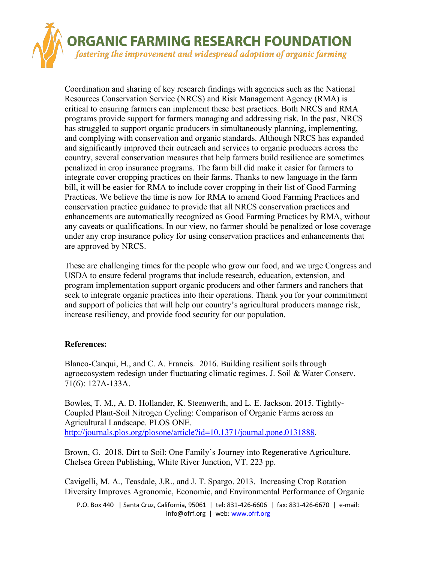

Coordination and sharing of key research findings with agencies such as the National Resources Conservation Service (NRCS) and Risk Management Agency (RMA) is critical to ensuring farmers can implement these best practices. Both NRCS and RMA programs provide support for farmers managing and addressing risk. In the past, NRCS has struggled to support organic producers in simultaneously planning, implementing, and complying with conservation and organic standards. Although NRCS has expanded and significantly improved their outreach and services to organic producers across the country, several conservation measures that help farmers build resilience are sometimes penalized in crop insurance programs. The farm bill did make it easier for farmers to integrate cover cropping practices on their farms. Thanks to new language in the farm bill, it will be easier for RMA to include cover cropping in their list of Good Farming Practices. We believe the time is now for RMA to amend Good Farming Practices and conservation practice guidance to provide that all NRCS conservation practices and enhancements are automatically recognized as Good Farming Practices by RMA, without any caveats or qualifications. In our view, no farmer should be penalized or lose coverage under any crop insurance policy for using conservation practices and enhancements that are approved by NRCS.

These are challenging times for the people who grow our food, and we urge Congress and USDA to ensure federal programs that include research, education, extension, and program implementation support organic producers and other farmers and ranchers that seek to integrate organic practices into their operations. Thank you for your commitment and support of policies that will help our country's agricultural producers manage risk, increase resiliency, and provide food security for our population.

## **References:**

Blanco-Canqui, H., and C. A. Francis. 2016. Building resilient soils through agroecosystem redesign under fluctuating climatic regimes. J. Soil & Water Conserv. 71(6): 127A-133A.

Bowles, T. M., A. D. Hollander, K. Steenwerth, and L. E. Jackson. 2015. Tightly-Coupled Plant-Soil Nitrogen Cycling: Comparison of Organic Farms across an Agricultural Landscape. PLOS ONE. http://journals.plos.org/plosone/article?id=10.1371/journal.pone.0131888.

Brown, G. 2018. Dirt to Soil: One Family's Journey into Regenerative Agriculture. Chelsea Green Publishing, White River Junction, VT. 223 pp.

Cavigelli, M. A., Teasdale, J.R., and J. T. Spargo. 2013. Increasing Crop Rotation Diversity Improves Agronomic, Economic, and Environmental Performance of Organic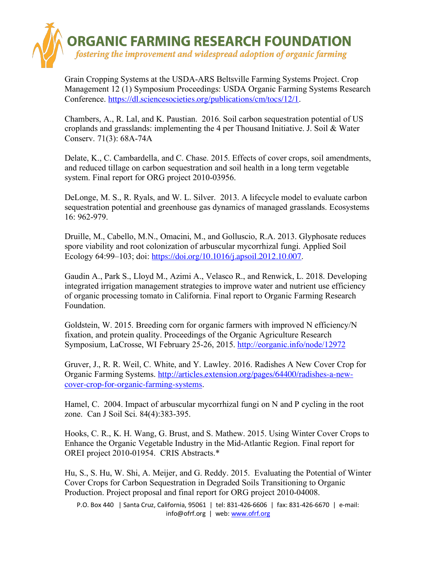

Grain Cropping Systems at the USDA-ARS Beltsville Farming Systems Project. Crop Management 12 (1) Symposium Proceedings: USDA Organic Farming Systems Research Conference. https://dl.sciencesocieties.org/publications/cm/tocs/12/1.

Chambers, A., R. Lal, and K. Paustian. 2016. Soil carbon sequestration potential of US croplands and grasslands: implementing the 4 per Thousand Initiative. J. Soil & Water Conserv. 71(3): 68A-74A

Delate, K., C. Cambardella, and C. Chase. 2015. Effects of cover crops, soil amendments, and reduced tillage on carbon sequestration and soil health in a long term vegetable system. Final report for ORG project 2010-03956.

DeLonge, M. S., R. Ryals, and W. L. Silver. 2013. A lifecycle model to evaluate carbon sequestration potential and greenhouse gas dynamics of managed grasslands. Ecosystems 16: 962-979.

Druille, M., Cabello, M.N., Omacini, M., and Golluscio, R.A. 2013. Glyphosate reduces spore viability and root colonization of arbuscular mycorrhizal fungi. Applied Soil Ecology 64:99–103; doi: https://doi.org/10.1016/j.apsoil.2012.10.007.

Gaudin A., Park S., Lloyd M., Azimi A., Velasco R., and Renwick, L. 2018. Developing integrated irrigation management strategies to improve water and nutrient use efficiency of organic processing tomato in California. Final report to Organic Farming Research Foundation.

Goldstein, W. 2015. Breeding corn for organic farmers with improved N efficiency/N fixation, and protein quality. Proceedings of the Organic Agriculture Research Symposium, LaCrosse, WI February 25-26, 2015. http://eorganic.info/node/12972

Gruver, J., R. R. Weil, C. White, and Y. Lawley. 2016. Radishes A New Cover Crop for Organic Farming Systems. http://articles.extension.org/pages/64400/radishes-a-newcover-crop-for-organic-farming-systems.

Hamel, C. 2004. Impact of arbuscular mycorrhizal fungi on N and P cycling in the root zone. Can J Soil Sci. 84(4):383-395.

Hooks, C. R., K. H. Wang, G. Brust, and S. Mathew. 2015. Using Winter Cover Crops to Enhance the Organic Vegetable Industry in the Mid-Atlantic Region. Final report for OREI project 2010-01954. CRIS Abstracts.\*

Hu, S., S. Hu, W. Shi, A. Meijer, and G. Reddy. 2015. Evaluating the Potential of Winter Cover Crops for Carbon Sequestration in Degraded Soils Transitioning to Organic Production. Project proposal and final report for ORG project 2010-04008.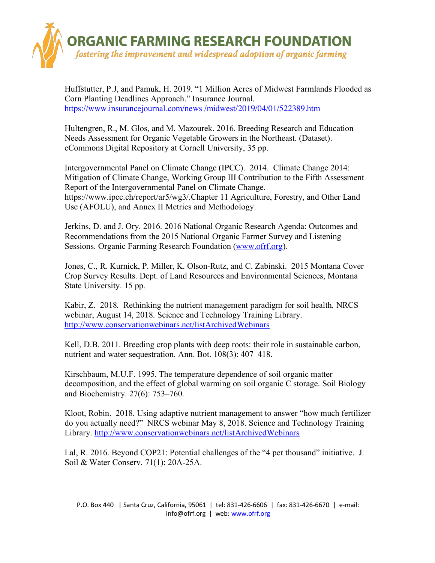

Huffstutter, P.J, and Pamuk, H. 2019. "1 Million Acres of Midwest Farmlands Flooded as Corn Planting Deadlines Approach." Insurance Journal. https://www.insurancejournal.com/news /midwest/2019/04/01/522389.htm

Hultengren, R., M. Glos, and M. Mazourek. 2016. Breeding Research and Education Needs Assessment for Organic Vegetable Growers in the Northeast. (Dataset). eCommons Digital Repository at Cornell University, 35 pp.

Intergovernmental Panel on Climate Change (IPCC). 2014. Climate Change 2014: Mitigation of Climate Change, Working Group III Contribution to the Fifth Assessment Report of the Intergovernmental Panel on Climate Change. https://www.ipcc.ch/report/ar5/wg3/.Chapter 11 Agriculture, Forestry, and Other Land Use (AFOLU), and Annex II Metrics and Methodology.

Jerkins, D. and J. Ory. 2016. 2016 National Organic Research Agenda: Outcomes and Recommendations from the 2015 National Organic Farmer Survey and Listening Sessions. Organic Farming Research Foundation (www.ofrf.org).

Jones, C., R. Kurnick, P. Miller, K. Olson-Rutz, and C. Zabinski. 2015 Montana Cover Crop Survey Results. Dept. of Land Resources and Environmental Sciences, Montana State University. 15 pp.

Kabir, Z. 2018*.* Rethinking the nutrient management paradigm for soil health*.* NRCS webinar, August 14, 2018. Science and Technology Training Library. http://www.conservationwebinars.net/listArchivedWebinars

Kell, D.B. 2011. Breeding crop plants with deep roots: their role in sustainable carbon, nutrient and water sequestration. Ann. Bot. 108(3): 407–418.

Kirschbaum, M.U.F. 1995. The temperature dependence of soil organic matter decomposition, and the effect of global warming on soil organic C storage. Soil Biology and Biochemistry. 27(6): 753–760.

Kloot, Robin. 2018. Using adaptive nutrient management to answer "how much fertilizer do you actually need?" NRCS webinar May 8, 2018. Science and Technology Training Library. http://www.conservationwebinars.net/listArchivedWebinars

Lal, R. 2016. Beyond COP21: Potential challenges of the "4 per thousand" initiative. J. Soil & Water Conserv. 71(1): 20A-25A.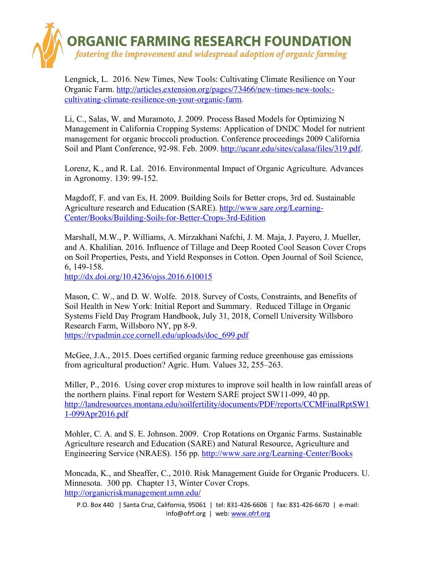

Lengnick, L. 2016. New Times, New Tools: Cultivating Climate Resilience on Your Organic Farm. http://articles.extension.org/pages/73466/new-times-new-tools: cultivating-climate-resilience-on-your-organic-farm.

Li, C., Salas, W. and Muramoto, J. 2009. Process Based Models for Optimizing N Management in California Cropping Systems: Application of DNDC Model for nutrient management for organic broccoli production. Conference proceedings 2009 California Soil and Plant Conference, 92-98. Feb. 2009. http://ucanr.edu/sites/calasa/files/319.pdf.

Lorenz, K., and R. Lal. 2016. Environmental Impact of Organic Agriculture. Advances in Agronomy. 139: 99-152.

Magdoff, F. and van Es, H. 2009. Building Soils for Better crops, 3rd ed. Sustainable Agriculture research and Education (SARE). http://www.sare.org/Learning-Center/Books/Building-Soils-for-Better-Crops-3rd-Edition

Marshall, M.W., P. Williams, A. Mirzakhani Nafchi, J. M. Maja, J. Payero, J. Mueller, and A. Khalilian. 2016. Influence of Tillage and Deep Rooted Cool Season Cover Crops on Soil Properties, Pests, and Yield Responses in Cotton. Open Journal of Soil Science, 6, 149-158.

http://dx.doi.org/10.4236/ojss.2016.610015

Mason, C. W., and D. W. Wolfe. 2018. Survey of Costs, Constraints, and Benefits of Soil Health in New York: Initial Report and Summary. Reduced Tillage in Organic Systems Field Day Program Handbook, July 31, 2018, Cornell University Willsboro Research Farm, Willsboro NY, pp 8-9. https://rvpadmin.cce.cornell.edu/uploads/doc\_699.pdf

McGee, J.A., 2015. Does certified organic farming reduce greenhouse gas emissions from agricultural production? Agric. Hum. Values 32, 255–263.

Miller, P., 2016. Using cover crop mixtures to improve soil health in low rainfall areas of the northern plains. Final report for Western SARE project SW11-099, 40 pp. http://landresources.montana.edu/soilfertility/documents/PDF/reports/CCMFinalRptSW1 1-099Apr2016.pdf

Mohler, C. A. and S. E. Johnson. 2009. Crop Rotations on Organic Farms. Sustainable Agriculture research and Education (SARE) and Natural Resource, Agriculture and Engineering Service (NRAES). 156 pp. http://www.sare.org/Learning-Center/Books

Moncada, K., and Sheaffer, C., 2010. Risk Management Guide for Organic Producers. U. Minnesota. 300 pp. Chapter 13, Winter Cover Crops. http://organicriskmanagement.umn.edu/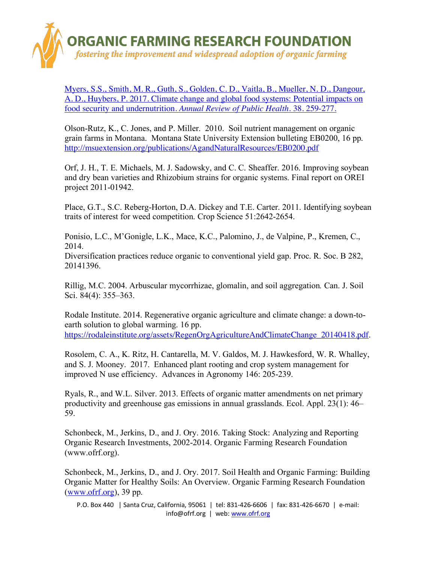

Myers, S.S., Smith, M. R., Guth, S., Golden, C. D., Vaitla, B., Mueller, N. D., Dangour, A. D., Huybers, P. 2017. Climate change and global food systems: Potential impacts on food security and undernutrition. *Annual Review of Public Health.* 38. 259-277.

Olson-Rutz, K., C. Jones, and P. Miller. 2010. Soil nutrient management on organic grain farms in Montana. Montana State University Extension bulleting EB0200, 16 pp. http://msuextension.org/publications/AgandNaturalResources/EB0200.pdf

Orf, J. H., T. E. Michaels, M. J. Sadowsky, and C. C. Sheaffer. 2016. Improving soybean and dry bean varieties and Rhizobium strains for organic systems. Final report on OREI project 2011-01942.

Place, G.T., S.C. Reberg-Horton, D.A. Dickey and T.E. Carter. 2011. Identifying soybean traits of interest for weed competition. Crop Science 51:2642-2654.

Ponisio, L.C., M'Gonigle, L.K., Mace, K.C., Palomino, J., de Valpine, P., Kremen, C., 2014.

Diversification practices reduce organic to conventional yield gap. Proc. R. Soc. B 282, 20141396.

Rillig, M.C. 2004. Arbuscular mycorrhizae, glomalin, and soil aggregation*.* Can. J. Soil Sci. 84(4): 355–363.

Rodale Institute. 2014. Regenerative organic agriculture and climate change: a down-toearth solution to global warming. 16 pp. https://rodaleinstitute.org/assets/RegenOrgAgricultureAndClimateChange\_20140418.pdf.

Rosolem, C. A., K. Ritz, H. Cantarella, M. V. Galdos, M. J. Hawkesford, W. R. Whalley, and S. J. Mooney. 2017. Enhanced plant rooting and crop system management for improved N use efficiency. Advances in Agronomy 146: 205-239.

Ryals, R., and W.L. Silver. 2013. Effects of organic matter amendments on net primary productivity and greenhouse gas emissions in annual grasslands. Ecol. Appl. 23(1): 46– 59.

Schonbeck, M., Jerkins, D., and J. Ory. 2016. Taking Stock: Analyzing and Reporting Organic Research Investments, 2002-2014. Organic Farming Research Foundation (www.ofrf.org).

Schonbeck, M., Jerkins, D., and J. Ory. 2017. Soil Health and Organic Farming: Building Organic Matter for Healthy Soils: An Overview. Organic Farming Research Foundation (www.ofrf.org), 39 pp.